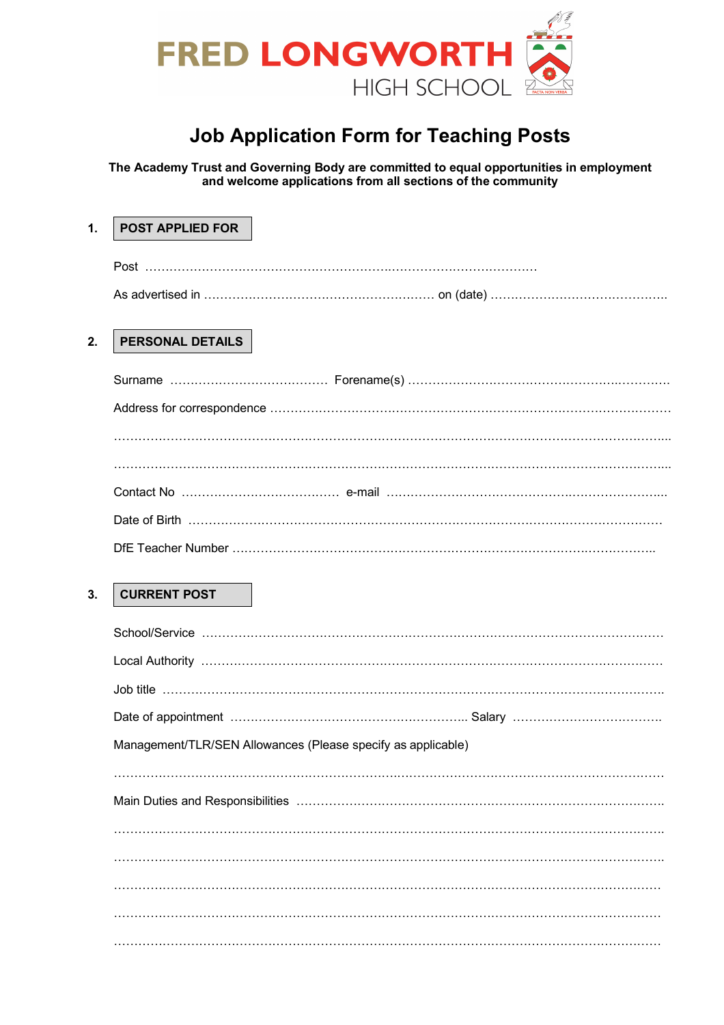

# **Job Application Form for Teaching Posts**

**The Academy Trust and Governing Body are committed to equal opportunities in employment and welcome applications from all sections of the community**

| 1.             | <b>POST APPLIED FOR</b> |  |
|----------------|-------------------------|--|
|                | Post                    |  |
|                |                         |  |
| 2 <sub>1</sub> | <b>PERSONAL DETAILS</b> |  |

## **3. CURRENT POST**

| Management/TLR/SEN Allowances (Please specify as applicable) |  |  |  |  |  |
|--------------------------------------------------------------|--|--|--|--|--|
|                                                              |  |  |  |  |  |
|                                                              |  |  |  |  |  |
|                                                              |  |  |  |  |  |
|                                                              |  |  |  |  |  |
|                                                              |  |  |  |  |  |
|                                                              |  |  |  |  |  |
|                                                              |  |  |  |  |  |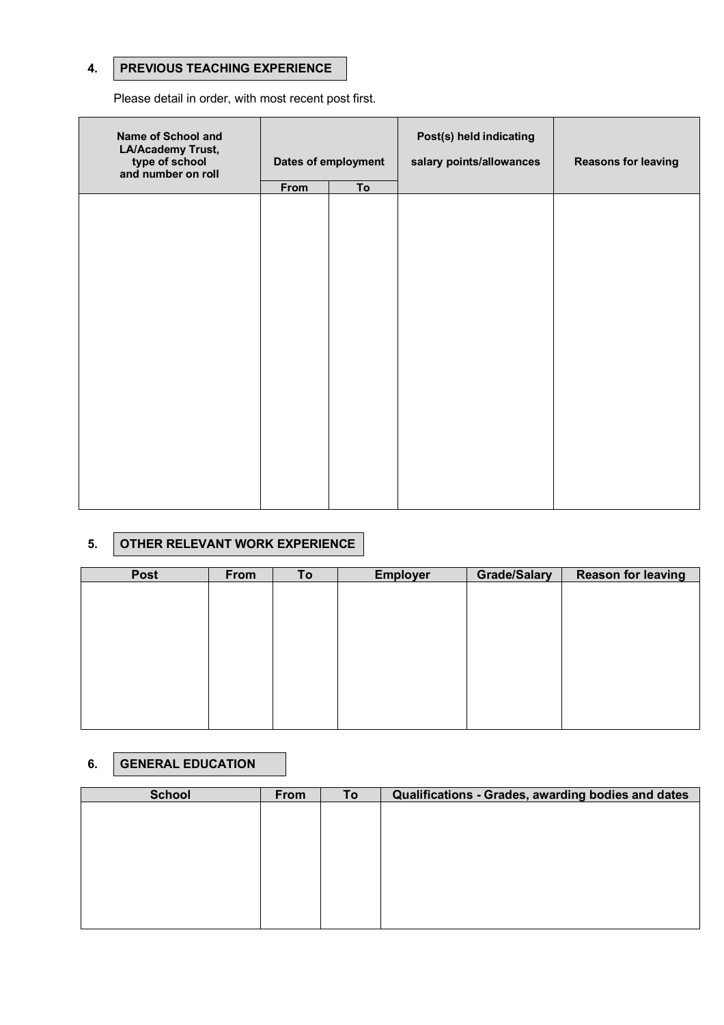#### **4. PREVIOUS TEACHING EXPERIENCE**

Please detail in order, with most recent post first.

| <b>Name of School and</b><br>LA/Academy Trust,<br>type of school<br>and number on roll | Dates of employment |    | Post(s) held indicating<br>salary points/allowances | <b>Reasons for leaving</b> |
|----------------------------------------------------------------------------------------|---------------------|----|-----------------------------------------------------|----------------------------|
|                                                                                        | From                | To |                                                     |                            |
|                                                                                        |                     |    |                                                     |                            |
|                                                                                        |                     |    |                                                     |                            |
|                                                                                        |                     |    |                                                     |                            |
|                                                                                        |                     |    |                                                     |                            |
|                                                                                        |                     |    |                                                     |                            |
|                                                                                        |                     |    |                                                     |                            |
|                                                                                        |                     |    |                                                     |                            |
|                                                                                        |                     |    |                                                     |                            |
|                                                                                        |                     |    |                                                     |                            |
|                                                                                        |                     |    |                                                     |                            |
|                                                                                        |                     |    |                                                     |                            |
|                                                                                        |                     |    |                                                     |                            |
|                                                                                        |                     |    |                                                     |                            |
|                                                                                        |                     |    |                                                     |                            |
|                                                                                        |                     |    |                                                     |                            |
|                                                                                        |                     |    |                                                     |                            |
|                                                                                        |                     |    |                                                     |                            |

#### **5. OTHER RELEVANT WORK EXPERIENCE**

| <b>Post</b> | From | To | <b>Employer</b> | <b>Grade/Salary</b> | <b>Reason for leaving</b> |
|-------------|------|----|-----------------|---------------------|---------------------------|
|             |      |    |                 |                     |                           |
|             |      |    |                 |                     |                           |
|             |      |    |                 |                     |                           |
|             |      |    |                 |                     |                           |
|             |      |    |                 |                     |                           |
|             |      |    |                 |                     |                           |
|             |      |    |                 |                     |                           |
|             |      |    |                 |                     |                           |
|             |      |    |                 |                     |                           |

## **6. GENERAL EDUCATION**

| From | To | Qualifications - Grades, awarding bodies and dates |
|------|----|----------------------------------------------------|
|      |    |                                                    |
|      |    |                                                    |
|      |    |                                                    |
|      |    |                                                    |
|      |    |                                                    |
|      |    |                                                    |
|      |    |                                                    |
|      |    |                                                    |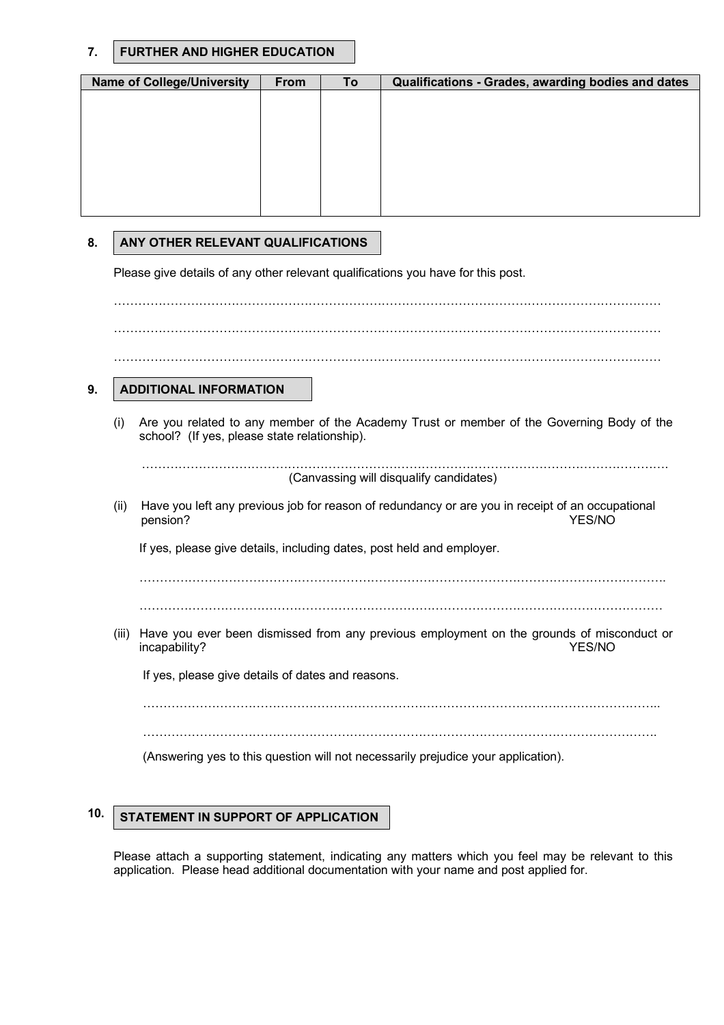#### **7. FURTHER AND HIGHER EDUCATION**

| <b>Name of College/University</b> | From | <b>To</b> | Qualifications - Grades, awarding bodies and dates |
|-----------------------------------|------|-----------|----------------------------------------------------|
|                                   |      |           |                                                    |
|                                   |      |           |                                                    |
|                                   |      |           |                                                    |
|                                   |      |           |                                                    |
|                                   |      |           |                                                    |
|                                   |      |           |                                                    |
|                                   |      |           |                                                    |

#### **8. ANY OTHER RELEVANT QUALIFICATIONS**

Please give details of any other relevant qualifications you have for this post.

……………………………………………………………………………………………………………………… ……………………………………………………………………………………………………………………… . The contract of the contract of the contract of the contract of the contract of the contract of the contract of the contract of the contract of the contract of the contract of the contract of the contract of the contrac

## **9. ADDITIONAL INFORMATION**

(i) Are you related to any member of the Academy Trust or member of the Governing Body of the school? (If yes, please state relationship).

 …………………………………………………………………………………………………………………. (Canvassing will disqualify candidates)

(ii)Have you left any previous job for reason of redundancy or are you in receipt of an occupational pension? YES/NO

If yes, please give details, including dates, post held and employer.

………………………………………………………………………………………………………………….

- …………………………………………………………………………………………………………………
- (iii)Have you ever been dismissed from any previous employment on the grounds of misconduct or incapability? YES/NO

If yes, please give details of dates and reasons.

………………………………………………………………………………………………………………..  $\mathcal{L}^{\text{max}}_{\text{max}}$ 

(Answering yes to this question will not necessarily prejudice your application).

# **10. STATEMENT IN SUPPORT OF APPLICATION**

Please attach a supporting statement, indicating any matters which you feel may be relevant to this application. Please head additional documentation with your name and post applied for.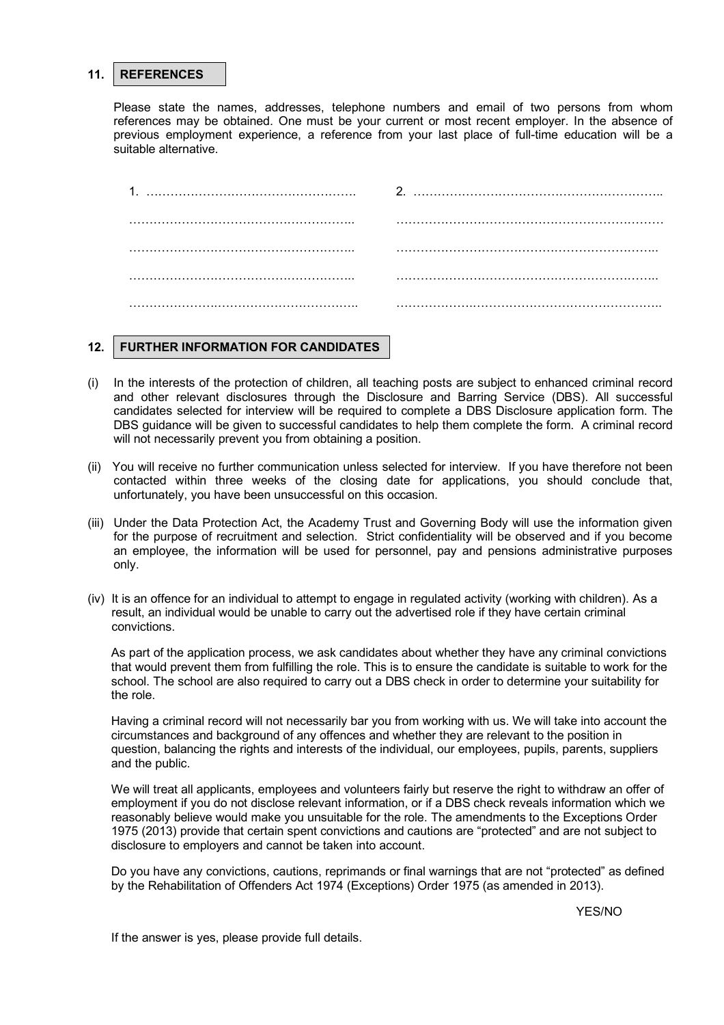#### **11. REFERENCES**

Please state the names, addresses, telephone numbers and email of two persons from whom references may be obtained. One must be your current or most recent employer. In the absence of previous employment experience, a reference from your last place of full-time education will be a suitable alternative.

#### **12. FURTHER INFORMATION FOR CANDIDATES**

- (i) In the interests of the protection of children, all teaching posts are subject to enhanced criminal record and other relevant disclosures through the Disclosure and Barring Service (DBS). All successful candidates selected for interview will be required to complete a DBS Disclosure application form. The DBS guidance will be given to successful candidates to help them complete the form. A criminal record will not necessarily prevent you from obtaining a position.
- (ii) You will receive no further communication unless selected for interview. If you have therefore not been contacted within three weeks of the closing date for applications, you should conclude that, unfortunately, you have been unsuccessful on this occasion.
- (iii) Under the Data Protection Act, the Academy Trust and Governing Body will use the information given for the purpose of recruitment and selection. Strict confidentiality will be observed and if you become an employee, the information will be used for personnel, pay and pensions administrative purposes only.
- (iv) It is an offence for an individual to attempt to engage in regulated activity (working with children). As a result, an individual would be unable to carry out the advertised role if they have certain criminal convictions.

As part of the application process, we ask candidates about whether they have any criminal convictions that would prevent them from fulfilling the role. This is to ensure the candidate is suitable to work for the school. The school are also required to carry out a DBS check in order to determine your suitability for the role.

Having a criminal record will not necessarily bar you from working with us. We will take into account the circumstances and background of any offences and whether they are relevant to the position in question, balancing the rights and interests of the individual, our employees, pupils, parents, suppliers and the public.

We will treat all applicants, employees and volunteers fairly but reserve the right to withdraw an offer of employment if you do not disclose relevant information, or if a DBS check reveals information which we reasonably believe would make you unsuitable for the role. The amendments to the Exceptions Order 1975 (2013) provide that certain spent convictions and cautions are "protected" and are not subject to disclosure to employers and cannot be taken into account.

Do you have any convictions, cautions, reprimands or final warnings that are not "protected" as defined by the Rehabilitation of Offenders Act 1974 (Exceptions) Order 1975 (as amended in 2013).

YES/NO

If the answer is yes, please provide full details.